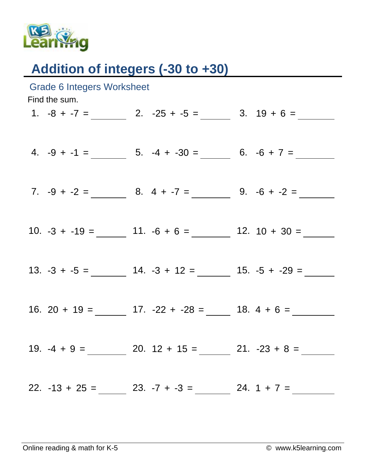

## Addition of integers (-30 to +30)

| <b>Grade 6 Integers Worksheet</b><br>Find the sum. |  |  |                                                                  |  |  |  |  |
|----------------------------------------------------|--|--|------------------------------------------------------------------|--|--|--|--|
|                                                    |  |  | 1. $-8 + -7 =$ 2. $-25 + -5 =$ 3. $19 + 6 =$                     |  |  |  |  |
|                                                    |  |  |                                                                  |  |  |  |  |
|                                                    |  |  | 4. $-9 + -1 =$ 5. $-4 + -30 =$ 6. $-6 + 7 =$                     |  |  |  |  |
|                                                    |  |  |                                                                  |  |  |  |  |
|                                                    |  |  | 7. $-9 + -2 =$ 8. $4 + -7 =$ 9. $-6 + -2 =$                      |  |  |  |  |
|                                                    |  |  |                                                                  |  |  |  |  |
|                                                    |  |  | 10. $-3 + -19 =$ 11. $-6 + 6 =$ 12. $10 + 30 =$                  |  |  |  |  |
|                                                    |  |  |                                                                  |  |  |  |  |
|                                                    |  |  |                                                                  |  |  |  |  |
|                                                    |  |  |                                                                  |  |  |  |  |
|                                                    |  |  | 16. 20 + 19 = ________ 17. -22 + -28 = _____ 18. 4 + 6 = _______ |  |  |  |  |
|                                                    |  |  |                                                                  |  |  |  |  |
|                                                    |  |  | 19. $-4 + 9 =$ 20. $12 + 15 =$ 21. $-23 + 8 =$                   |  |  |  |  |
|                                                    |  |  |                                                                  |  |  |  |  |
|                                                    |  |  | 22. $-13 + 25 =$ 23. $-7 + -3 =$ 24. $1 + 7 =$                   |  |  |  |  |
|                                                    |  |  |                                                                  |  |  |  |  |